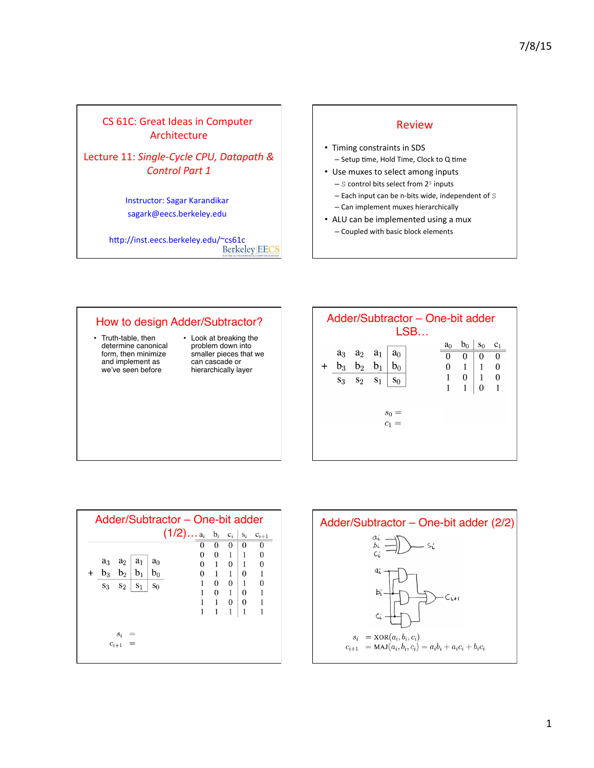# CS 61C: Great Ideas in Computer Architecture

Lecture 11: Single-Cycle CPU, Datapath & **Control Part 1** 

> Instructor: Sagar Karandikar sagark@eecs.berkeley.edu

http://inst.eecs.berkeley.edu/~cs61c **Berkeley EECS** 

#### Review

- Timing constraints in SDS - Setup time, Hold Time, Clock to Q time
- Use muxes to select among inputs
	- $-$  S control bits select from  $2<sup>S</sup>$  inputs
	- $-$  Each input can be n-bits wide, independent of  $S$
	- Can implement muxes hierarchically
- ALU can be implemented using a mux
	- Coupled with basic block elements

#### How to design Adder/Subtractor? • Truth-table, then • Look at breaking the

- determine canonical form, then minimize and implement as we've seen before
- problem down into smaller pieces that we can cascade or hierarchically layer





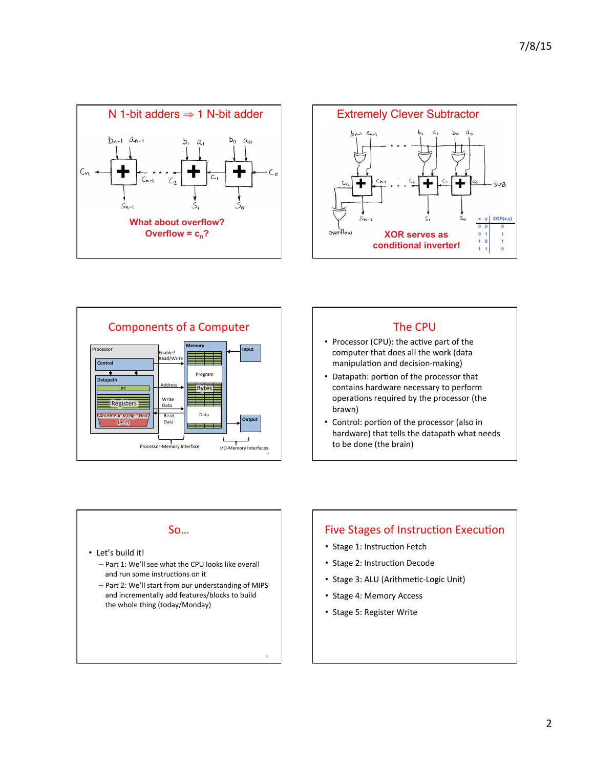





#### **The CPU**

- Processor (CPU): the active part of the computer that does all the work (data manipulation and decision-making)
- Datapath: portion of the processor that contains hardware necessary to perform operations required by the processor (the brawn)
- Control: portion of the processor (also in hardware) that tells the datapath what needs to be done (the brain)

#### So…

- Let's build it!
	- Part 1: We'll see what the CPU looks like overall and run some instructions on it
	- Part 2: We'll start from our understanding of MIPS and incrementally add features/blocks to build the whole thing (today/Monday)

11 

# Five Stages of Instruction Execution

- Stage 1: Instruction Fetch
- Stage 2: Instruction Decode
- Stage 3: ALU (Arithmetic-Logic Unit)
- Stage 4: Memory Access
- Stage 5: Register Write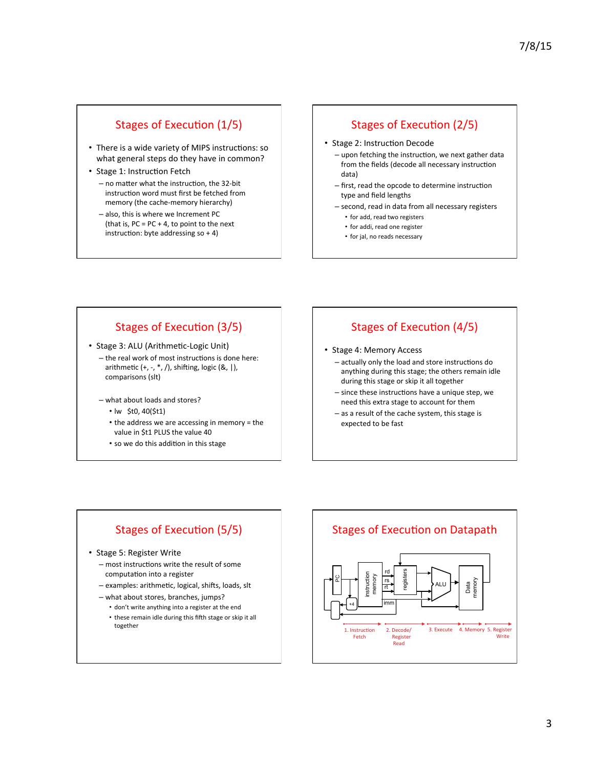# Stages of Execution (1/5)

- There is a wide variety of MIPS instructions: so what general steps do they have in common?
- Stage 1: Instruction Fetch
	- $-$  no matter what the instruction, the 32-bit instruction word must first be fetched from memory (the cache-memory hierarchy)
	- also, this is where we Increment PC (that is,  $PC = PC + 4$ , to point to the next instruction: byte addressing  $so + 4$ )

# Stages of Execution (2/5)

- Stage 2: Instruction Decode
	- upon fetching the instruction, we next gather data from the fields (decode all necessary instruction data)
	- first, read the opcode to determine instruction type and field lengths
	- second, read in data from all necessary registers
		- for add, read two registers
		- for addi, read one register
		- for jal, no reads necessary

### Stages of Execution (3/5)

- Stage 3: ALU (Arithmetic-Logic Unit)
	- $-$  the real work of most instructions is done here: arithmetic  $(+, -, *, /)$ , shifting, logic  $(8, |)$ , comparisons (slt)
	- what about loads and stores?
		- lw \$t0, 40(\$t1)
		- the address we are accessing in memory = the value in \$t1 PLUS the value 40
		- so we do this addition in this stage

# Stages of Execution (4/5)

- Stage 4: Memory Access
	- actually only the load and store instructions do anything during this stage; the others remain idle during this stage or skip it all together
	- $-$  since these instructions have a unique step, we need this extra stage to account for them
	- $-$  as a result of the cache system, this stage is expected to be fast

# Stages of Execution (5/5)

#### • Stage 5: Register Write

- $-$  most instructions write the result of some computation into a register
- examples: arithmetic, logical, shifts, loads, slt
- what about stores, branches, jumps?
	- don't write anything into a register at the end
	- these remain idle during this fifth stage or skip it all together

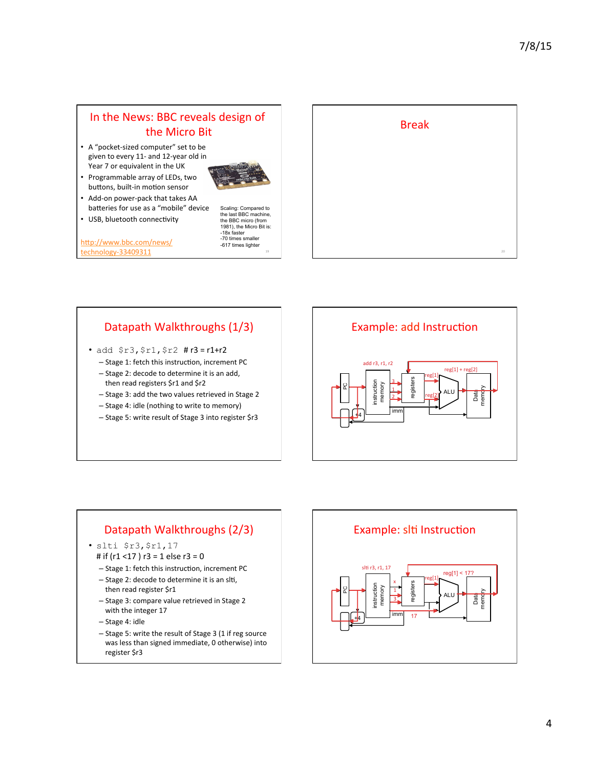# In the News: BBC reveals design of the Micro Bit

- A "pocket-sized computer" set to be given to every 11- and 12-year old in Year 7 or equivalent in the UK
- Programmable array of LEDs, two buttons, built-in motion sensor



- Add-on power-pack that takes AA batteries for use as a "mobile" device
- USB, bluetooth connectivity

http://www.bbc.com/news/ technology-33409311

Scaling: Compared to the last BBC machine, the BBC micro (from 1981), the Micro Bit is: -18x faster<br>-70 times smaller -617 times lighter



# Datapath Walkthroughs (1/3)

- add  $$r3, $r1, $r2 #r3 = r1+r2$ 
	- Stage 1: fetch this instruction, increment PC
	- Stage 2: decode to determine it is an add, then read registers \$r1 and \$r2
	- Stage 3: add the two values retrieved in Stage 2
	- Stage 4: idle (nothing to write to memory)
	- Stage 5: write result of Stage 3 into register \$r3



### Datapath Walkthroughs (2/3)

- slti \$r3,\$r1,17
- # if  $(r1 < 17)$  r3 = 1 else r3 = 0
- $-$  Stage 1: fetch this instruction, increment PC
- Stage 2: decode to determine it is an slti, then read register \$r1
- Stage 3: compare value retrieved in Stage 2 with the integer 17
- Stage 4: idle
- Stage 5: write the result of Stage 3 (1 if reg source was less than signed immediate, 0 otherwise) into register \$r3

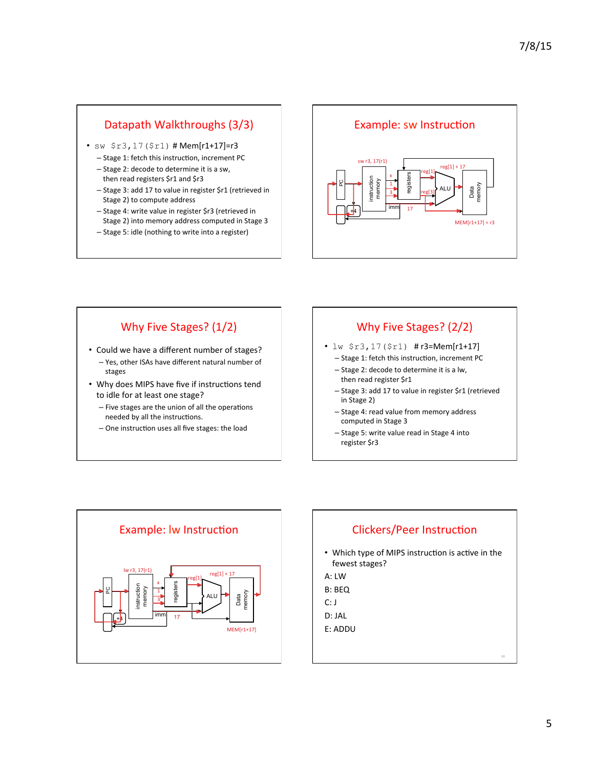# Datapath Walkthroughs (3/3)

- sw  $$r3,17 ($r1)$  # Mem[r1+17]=r3
	- Stage 1: fetch this instruction, increment PC
	- Stage 2: decode to determine it is a sw, then read registers \$r1 and \$r3
	- Stage 3: add 17 to value in register \$r1 (retrieved in Stage 2) to compute address
	- Stage 4: write value in register \$r3 (retrieved in Stage 2) into memory address computed in Stage 3
	- Stage 5: idle (nothing to write into a register)



# Why Five Stages? (1/2)

- Could we have a different number of stages? - Yes, other ISAs have different natural number of stages
- Why does MIPS have five if instructions tend to idle for at least one stage?
	- $-$  Five stages are the union of all the operations needed by all the instructions.
	- $-$  One instruction uses all five stages: the load

# Why Five Stages? (2/2)

- $lw$   $$r3,17($r1)$  # $r3=Mem[r1+17]$ 
	- Stage 1: fetch this instruction, increment PC
	- Stage 2: decode to determine it is a lw, then read register \$r1
	- Stage 3: add 17 to value in register \$r1 (retrieved in Stage 2)
	- Stage 4: read value from memory address computed in Stage 3
	- Stage 5: write value read in Stage 4 into register \$r3



### Clickers/Peer Instruction

- Which type of MIPS instruction is active in the fewest stages?
- A: LW
- B: BEQ
- C: J
- D: JAL
- E: ADDU

30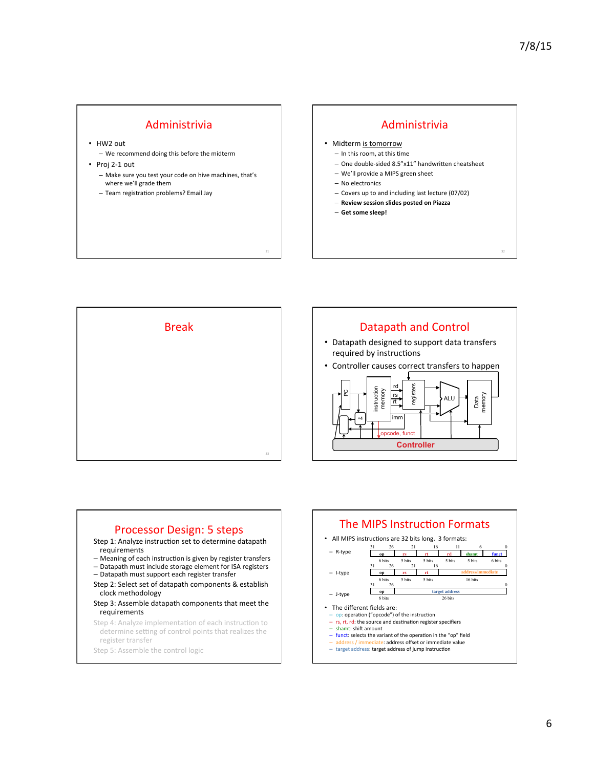32 

#### Administrivia

- HW2 out
	- We recommend doing this before the midterm
- Proj 2-1 out - Make sure you test your code on hive machines, that's where we'll grade them
	- Team registration problems? Email Jay

#### Administrivia

- Midterm is tomorrow
- $-$  In this room, at this time
- One double-sided 8.5"x11" handwritten cheatsheet
- We'll provide a MIPS green sheet
- No electronics
- Covers up to and including last lecture (07/02)
- **Review session slides posted on Piazza**
- **Get some sleep!**



31 



#### Processor Design: 5 steps

- Step 1: Analyze instruction set to determine datapath requirements
- Meaning of each instruction is given by register transfers
- Datapath must include storage element for ISA registers
- Datapath must support each register transfer
- Step 2: Select set of datapath components & establish clock methodology
- Step 3: Assemble datapath components that meet the requirements
- Step 4: Analyze implementation of each instruction to determine setting of control points that realizes the register transfer

Step 5: Assemble the control logic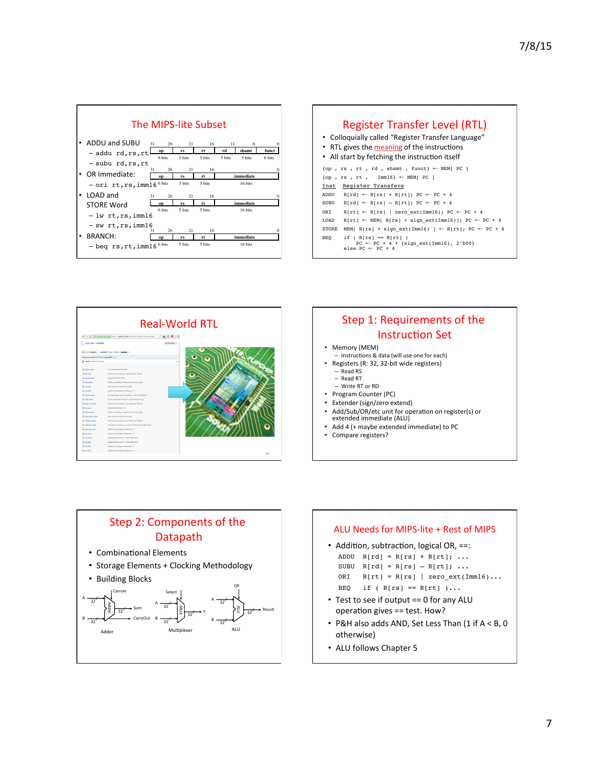

| Register Transfer Level (RTL)<br>• Colloquially called "Register Transfer Language"<br>• RTL gives the meaning of the instructions<br>• All start by fetching the instruction itself |                                                                                                           |
|--------------------------------------------------------------------------------------------------------------------------------------------------------------------------------------|-----------------------------------------------------------------------------------------------------------|
|                                                                                                                                                                                      | $\{op, rs, rt, rd, shamt, funct\} \leftarrow MEM[PC]$                                                     |
| $\{op, rs, rt, Imm16\}$ $\leftarrow$ MEM[ PC ]                                                                                                                                       |                                                                                                           |
|                                                                                                                                                                                      | Inst Register Transfers                                                                                   |
| ADDU                                                                                                                                                                                 | $R[rd] \leftarrow R[rs] + R[rt]; PC \leftarrow PC + 4$                                                    |
| SUBU                                                                                                                                                                                 | $R[rd] \leftarrow R[rs] - R[rt]; PC \leftarrow PC + 4$                                                    |
| ORT                                                                                                                                                                                  | $R[rt] \leftarrow R[rs]$   zero ext(Imm16); PC $\leftarrow$ PC + 4                                        |
| T.OAD                                                                                                                                                                                | $R[rt] \leftarrow MEM[ R[rs] + sign ext(Imm16)]$ ; PC $\leftarrow PC + 4$                                 |
| <b>STORE</b>                                                                                                                                                                         | MEM[ R[rs] + sign ext(Imm16) ] $\leftarrow$ R[rt]; PC $\leftarrow$ PC + 4                                 |
| BEQ                                                                                                                                                                                  | if $(R[rs] == R[rt])$<br>$PC \leftarrow PC + 4 + {sign ext(Imm16), 2'b00}$<br>else PC $\leftarrow$ PC + 4 |





#### Memory (MEM)

- Instructions & data (will use one for each) Registers (R: 32, 32-bit wide registers)
	- Read RS
	- Read RT
	- Write RT or RD
- Program Counter (PC)
- Extender (sign/zero extend)
- Add/Sub/OR/etc unit for operation on register(s) or<br>extended immediate (ALU)
- Add 4 (+ maybe extended immediate) to PC
- Compare registers?



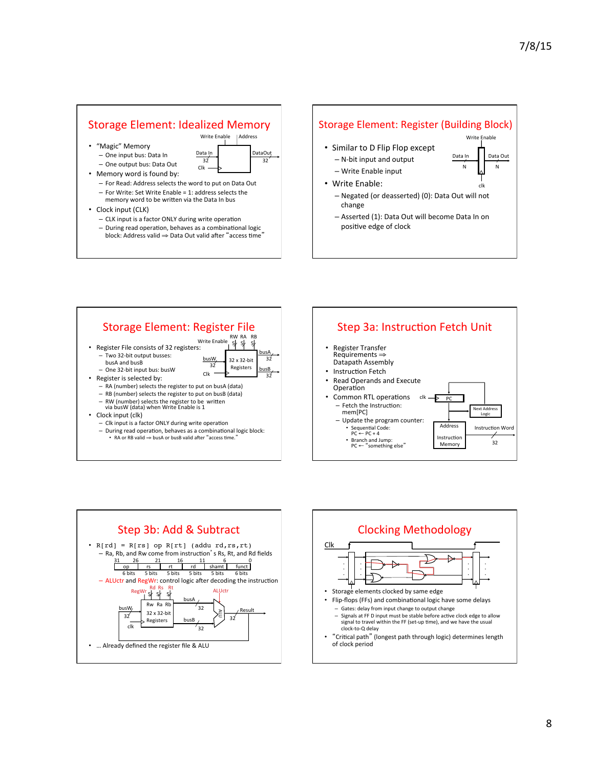#### Storage Element: Idealized Memory

- "Magic" Memory
- One input bus: Data In - One output bus: Data Out • Memory word is found by:
- Clk Data 32<sup>1</sup> 32<sup>1</sup> DataOuț

Write Enable | Address

- For Read: Address selects the word to put on Data Out - For Write: Set Write Enable = 1: address selects the
- memory word to be written via the Data In bus
- Clock input (CLK)
	- $-$  CLK input is a factor ONLY during write operation  $-$  During read operation, behaves as a combinational logic block: Address valid  $\Rightarrow$  Data Out valid after "access time"

#### Storage Element: Register (Building Block)

- Similar to D Flip Flop except
	- $-$  N-bit input and output
	- Write Enable input
- Write Enable:
	- Negated (or deasserted) (0): Data Out will not change

clk 

N N 

Data<sub>, Out</sub>

Write Enable

Data Ir

- Asserted (1): Data Out will become Data In on positive edge of clock